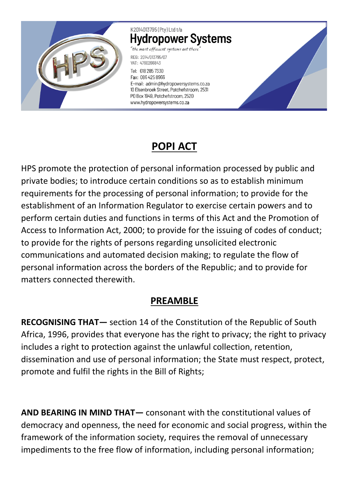

K2014013795 (Ptv) Ltd t/a **Hydropower Systems** 

"the most efficient systems out there" REG: 2014/013795/07 VAT: 4760266843

Tel: 018 285 7330 Fax: 086 425 8966 E-mail: admin@hydropowersystems.co.za 10 Elsenbroek Street, Potchefstroom, 2531 P0 Box 1949, Potchefstroom, 2520 www.hydropowersystems.co.za



## **POPI ACT**

HPS promote the protection of personal information processed by public and private bodies; to introduce certain conditions so as to establish minimum requirements for the processing of personal information; to provide for the establishment of an Information Regulator to exercise certain powers and to perform certain duties and functions in terms of this Act and the Promotion of Access to Information Act, 2000; to provide for the issuing of codes of conduct; to provide for the rights of persons regarding unsolicited electronic communications and automated decision making; to regulate the flow of personal information across the borders of the Republic; and to provide for matters connected therewith.

## **PREAMBLE**

**RECOGNISING THAT—** section 14 of the Constitution of the Republic of South Africa, 1996, provides that everyone has the right to privacy; the right to privacy includes a right to protection against the unlawful collection, retention, dissemination and use of personal information; the State must respect, protect, promote and fulfil the rights in the Bill of Rights;

**AND BEARING IN MIND THAT—** consonant with the constitutional values of democracy and openness, the need for economic and social progress, within the framework of the information society, requires the removal of unnecessary impediments to the free flow of information, including personal information;